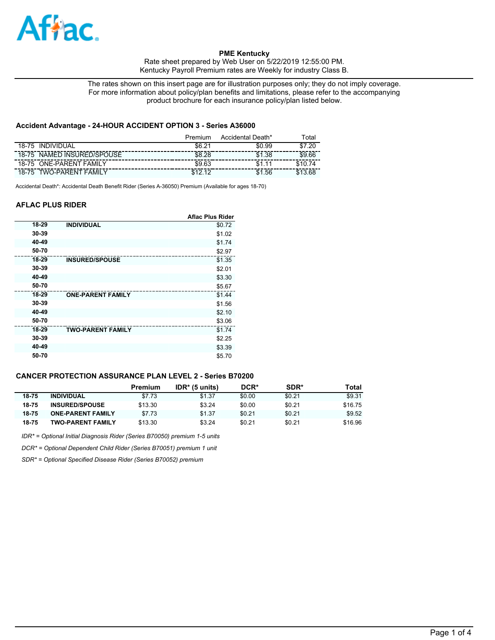

**PME Kentucky**  Rate sheet prepared by Web User on 5/22/2019 12:55:00 PM.

Kentucky Payroll Premium rates are Weekly for industry Class B.

The rates shown on this insert page are for illustration purposes only; they do not imply coverage. For more information about policy/plan benefits and limitations, please refer to the accompanying product brochure for each insurance policy/plan listed below.

## **Accident Advantage - 24-HOUR ACCIDENT OPTION 3 - Series A36000**

|                                   | Premium | Accidental Death* | ⊺otal     |
|-----------------------------------|---------|-------------------|-----------|
| <b>INDIVIDUAL</b><br>18-75        | \$6.21  | \$0.99            | .20<br>ፍ7 |
| NAMED INSURED/SPOUSE<br>18-75     | \$8.28  | \$1.38            | \$9.66    |
| <b>ONE-PARENT FAMILY</b><br>18-75 | \$9.63  |                   |           |
| <b>TWO-PARENT FAMIL</b><br>18-75  | ሮ 4 ገ   | .56               |           |

Accidental Death\*: Accidental Death Benefit Rider (Series A-36050) Premium (Available for ages 18-70)

### **AFLAC PLUS RIDER**

|       |                          | <b>Aflac Plus Rider</b> |
|-------|--------------------------|-------------------------|
| 18-29 | <b>INDIVIDUAL</b>        | \$0.72                  |
| 30-39 |                          | \$1.02                  |
| 40-49 |                          | \$1.74                  |
| 50-70 |                          | \$2.97                  |
| 18-29 | <b>INSURED/SPOUSE</b>    | \$1.35                  |
| 30-39 |                          | \$2.01                  |
| 40-49 |                          | \$3.30                  |
| 50-70 |                          | \$5.67                  |
| 18-29 | <b>ONE-PARENT FAMILY</b> | \$1.44                  |
| 30-39 |                          | \$1.56                  |
| 40-49 |                          | \$2.10                  |
| 50-70 |                          | \$3.06                  |
| 18-29 | <b>TWO-PARENT FAMILY</b> | \$1.74                  |
| 30-39 |                          | \$2.25                  |
| 40-49 |                          | \$3.39                  |
| 50-70 |                          | \$5.70                  |

# **CANCER PROTECTION ASSURANCE PLAN LEVEL 2 - Series B70200**

|       |                          | Premium | $IDR* (5 units)$ | DCR*   | <b>SDR*</b> | Total   |
|-------|--------------------------|---------|------------------|--------|-------------|---------|
| 18-75 | <b>INDIVIDUAL</b>        | \$7.73  | \$1.37           | \$0.00 | \$0.21      | \$9.31  |
| 18-75 | <b>INSURED/SPOUSE</b>    | \$13.30 | \$3.24           | \$0.00 | \$0.21      | \$16.75 |
| 18-75 | <b>ONE-PARENT FAMILY</b> | \$7.73  | \$1.37           | \$0.21 | \$0.21      | \$9.52  |
| 18-75 | <b>TWO-PARENT FAMILY</b> | \$13.30 | \$3.24           | \$0.21 | \$0.21      | \$16.96 |

*IDR\* = Optional Initial Diagnosis Rider (Series B70050) premium 1-5 units*

*DCR\* = Optional Dependent Child Rider (Series B70051) premium 1 unit*

*SDR\* = Optional Specified Disease Rider (Series B70052) premium*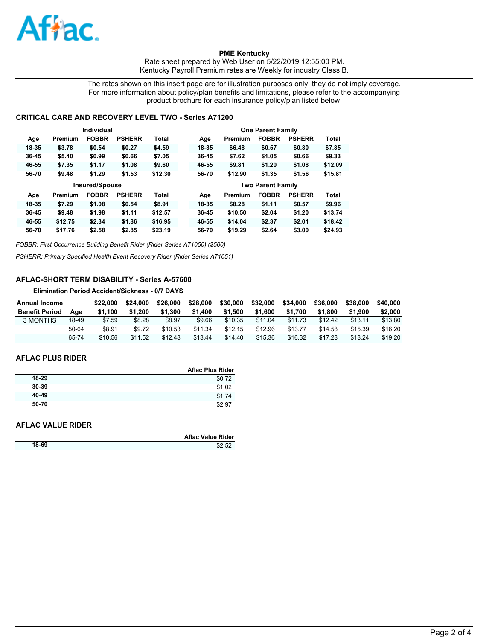

**PME Kentucky**  Rate sheet prepared by Web User on 5/22/2019 12:55:00 PM. Kentucky Payroll Premium rates are Weekly for industry Class B.

The rates shown on this insert page are for illustration purposes only; they do not imply coverage. For more information about policy/plan benefits and limitations, please refer to the accompanying product brochure for each insurance policy/plan listed below.

### **CRITICAL CARE AND RECOVERY LEVEL TWO - Series A71200**

|           |         | Individual     |               |              |       |         | <b>One Parent Family</b> |               |              |
|-----------|---------|----------------|---------------|--------------|-------|---------|--------------------------|---------------|--------------|
| Age       | Premium | <b>FOBBR</b>   | <b>PSHERR</b> | <b>Total</b> | Age   | Premium | <b>FOBBR</b>             | <b>PSHERR</b> | <b>Total</b> |
| 18-35     | \$3.78  | \$0.54         | \$0.27        | \$4.59       | 18-35 | \$6.48  | \$0.57                   | \$0.30        | \$7.35       |
| $36 - 45$ | \$5.40  | \$0.99         | \$0.66        | \$7.05       | 36-45 | \$7.62  | \$1.05                   | \$0.66        | \$9.33       |
| 46-55     | \$7.35  | \$1.17         | \$1.08        | \$9.60       | 46-55 | \$9.81  | \$1.20                   | \$1.08        | \$12.09      |
| 56-70     | \$9.48  | \$1.29         | \$1.53        | \$12.30      | 56-70 | \$12.90 | \$1.35                   | \$1.56        | \$15.81      |
|           |         |                |               |              |       |         |                          |               |              |
|           |         | Insured/Spouse |               |              |       |         | <b>Two Parent Family</b> |               |              |
| Age       | Premium | <b>FOBBR</b>   | <b>PSHERR</b> | Total        | Age   | Premium | <b>FOBBR</b>             | <b>PSHERR</b> | <b>Total</b> |
| 18-35     | \$7.29  | \$1.08         | \$0.54        | \$8.91       | 18-35 | \$8.28  | \$1.11                   | \$0.57        | \$9.96       |
| $36 - 45$ | \$9.48  | \$1.98         | \$1.11        | \$12.57      | 36-45 | \$10.50 | \$2.04                   | \$1.20        | \$13.74      |
| 46-55     | \$12.75 | \$2.34         | \$1.86        | \$16.95      | 46-55 | \$14.04 | \$2.37                   | \$2.01        | \$18.42      |

*FOBBR: First Occurrence Building Benefit Rider (Rider Series A71050) (\$500)*

*PSHERR: Primary Specified Health Event Recovery Rider (Rider Series A71051)*

## **AFLAC-SHORT TERM DISABILITY - Series A-57600**

**Elimination Period Accident/Sickness - 0/7 DAYS**

| Annual Income         |       | \$22.000 | \$24.000 | \$26,000 | \$28,000 | \$30,000 | \$32,000 | \$34,000 | \$36,000 | \$38,000 | \$40,000 |
|-----------------------|-------|----------|----------|----------|----------|----------|----------|----------|----------|----------|----------|
| <b>Benefit Period</b> | Aae   | \$1.100  | \$1.200  | \$1.300  | \$1.400  | \$1.500  | \$1,600  | \$1.700  | \$1,800  | \$1,900  | \$2,000  |
| 3 MONTHS              | 18-49 | \$7.59   | \$8.28   | \$8.97   | \$9.66   | \$10.35  | \$11.04  | \$11.73  | \$12.42  | \$13.11  | \$13.80  |
|                       | 50-64 | \$8.91   | \$9.72   | \$10.53  | \$11.34  | \$12.15  | \$12.96  | \$13.77  | \$14.58  | \$15.39  | \$16.20  |
|                       | 65-74 | \$10.56  | \$11.52  | \$12.48  | \$13.44  | \$14.40  | \$15.36  | \$16.32  | \$17.28  | \$18.24  | \$19.20  |

#### **AFLAC PLUS RIDER**

|           | <b>Aflac Plus Rider</b> |
|-----------|-------------------------|
| 18-29     | \$0.72                  |
| $30 - 39$ | \$1.02                  |
| 40-49     | \$1.74                  |
| 50-70     | \$2.97                  |

### **AFLAC VALUE RIDER**

|       | <b>Aflac Value Rider</b> |
|-------|--------------------------|
| 18-69 | \$2.52                   |
|       |                          |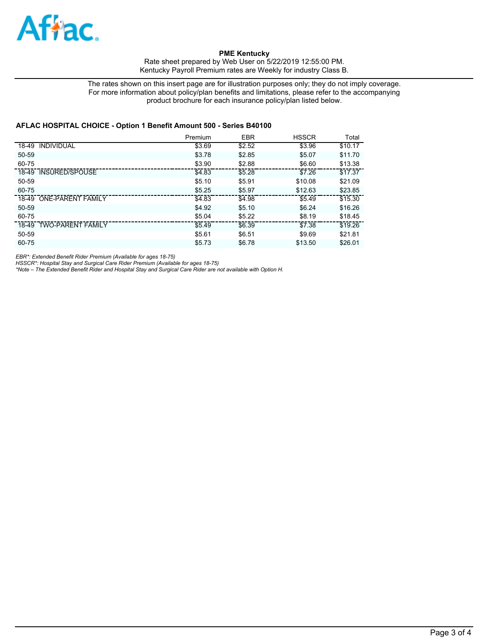

**PME Kentucky**  Rate sheet prepared by Web User on 5/22/2019 12:55:00 PM. Kentucky Payroll Premium rates are Weekly for industry Class B.

The rates shown on this insert page are for illustration purposes only; they do not imply coverage. For more information about policy/plan benefits and limitations, please refer to the accompanying product brochure for each insurance policy/plan listed below.

### **AFLAC HOSPITAL CHOICE - Option 1 Benefit Amount 500 - Series B40100**

|                            | Premium | <b>EBR</b> | <b>HSSCR</b> | Total   |
|----------------------------|---------|------------|--------------|---------|
| 18-49<br><b>INDIVIDUAL</b> | \$3.69  | \$2.52     | \$3.96       | \$10.17 |
| 50-59                      | \$3.78  | \$2.85     | \$5.07       | \$11.70 |
| 60-75                      | \$3.90  | \$2.88     | \$6.60       | \$13.38 |
| 18-49 INSURED/SPOUSE       | \$4.83  | \$5.28     | \$7.26       | \$17.37 |
| 50-59                      | \$5.10  | \$5.91     | \$10.08      | \$21.09 |
| 60-75                      | \$5.25  | \$5.97     | \$12.63      | \$23.85 |
| 18-49 ONE-PARENT FAMILY    | \$4.83  | \$4.98     | \$5.49       | \$15.30 |
| 50-59                      | \$4.92  | \$5.10     | \$6.24       | \$16.26 |
| 60-75                      | \$5.04  | \$5.22     | \$8.19       | \$18.45 |
| 18-49 TWO-PARENT FAMILY    | \$5.49  | \$6.39     | \$7.38       | \$19.26 |
| 50-59                      | \$5.61  | \$6.51     | \$9.69       | \$21.81 |
| 60-75                      | \$5.73  | \$6.78     | \$13.50      | \$26.01 |

*EBR\*: Extended Benefit Rider Premium (Available for ages 18-75)*

*HSSCR\*: Hospital Stay and Surgical Care Rider Premium (Available for ages 18-75) \*Note – The Extended Benefit Rider and Hospital Stay and Surgical Care Rider are not available with Option H.*